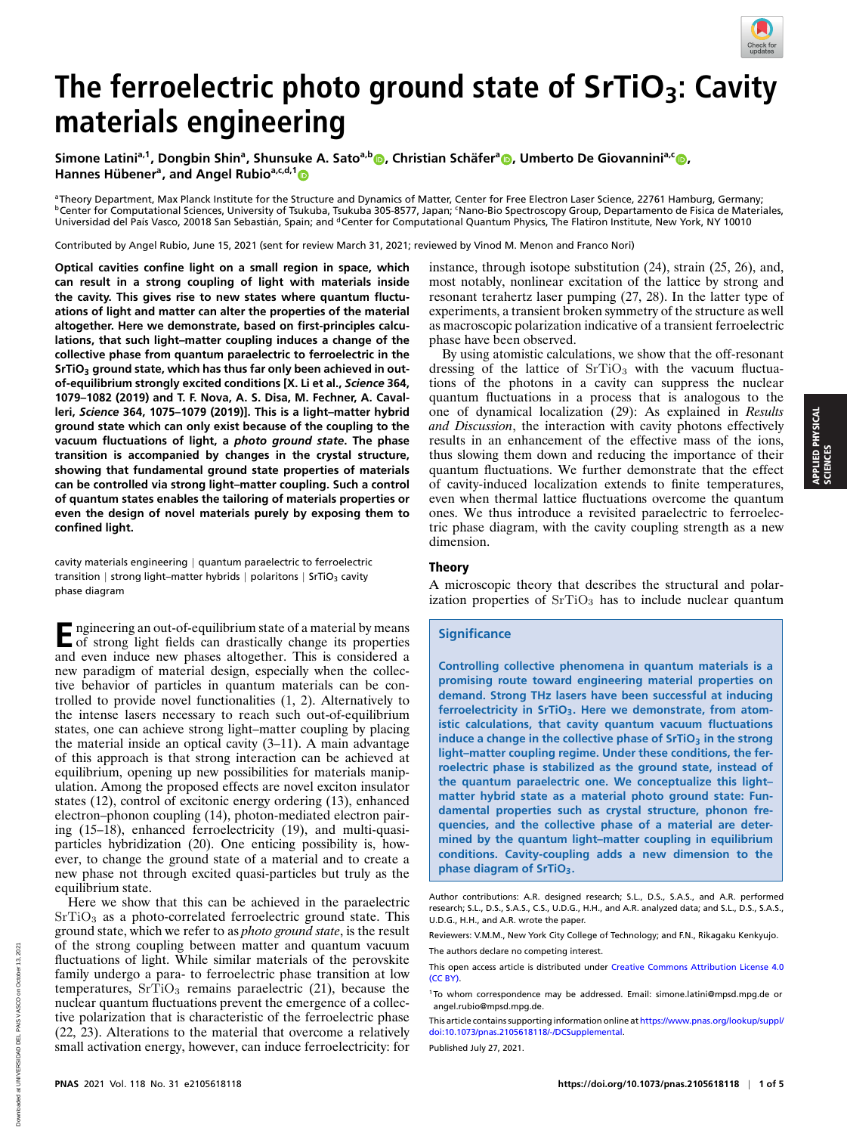

# **The ferroelectric photo ground state of SrTiO3: Cavity materials engineering**

 $S$ imone Latini<sup>a[,](http://orcid.org/0000-0002-4899-1304)1</sup>, Dongbin Shin<sup>a</sup>, Shunsuke A. Sato<sup>a,b</sup>. Christian Schäfer<sup>a</sup>. Umberto De Giovannini<sup>a,c</sup>. **Hannes Hubener ¨ a , and Angel Rubioa,c,d,[1](http://orcid.org/0000-0003-2060-3151)**

aTheory Department, Max Planck Institute for the Structure and Dynamics of Matter, Center for Free Electron Laser Science, 22761 Hamburg, Germany; bCenter for Computational Sciences, University of Tsukuba, Tsukuba 305-8577, Japan; SNano-Bio Spectroscopy Group, Departamento de Fisica de Materiales, Universidad del País Vasco, 20018 San Sebastián, Spain; and <sup>d</sup>Center for Computational Quantum Physics, The Flatiron Institute, New York, NY 10010

Contributed by Angel Rubio, June 15, 2021 (sent for review March 31, 2021; reviewed by Vinod M. Menon and Franco Nori)

**Optical cavities confine light on a small region in space, which can result in a strong coupling of light with materials inside the cavity. This gives rise to new states where quantum fluctuations of light and matter can alter the properties of the material altogether. Here we demonstrate, based on first-principles calculations, that such light–matter coupling induces a change of the collective phase from quantum paraelectric to ferroelectric in the SrTiO<sup>3</sup> ground state, which has thus far only been achieved in outof-equilibrium strongly excited conditions [X. Li et al.,** *Science* **364, 1079–1082 (2019) and T. F. Nova, A. S. Disa, M. Fechner, A. Cavalleri,** *Science* **364, 1075–1079 (2019)]. This is a light–matter hybrid ground state which can only exist because of the coupling to the vacuum fluctuations of light, a** *photo ground state***. The phase transition is accompanied by changes in the crystal structure, showing that fundamental ground state properties of materials can be controlled via strong light–matter coupling. Such a control of quantum states enables the tailoring of materials properties or even the design of novel materials purely by exposing them to confined light.**

cavity materials engineering | quantum paraelectric to ferroelectric transition | strong light–matter hybrids | polaritons | SrTiO<sub>3</sub> cavity phase diagram

**E** ngineering an out-of-equilibrium state of a material by means<br>of strong light fields can drastically change its properties of strong light fields can drastically change its properties and even induce new phases altogether. This is considered a new paradigm of material design, especially when the collective behavior of particles in quantum materials can be controlled to provide novel functionalities (1, 2). Alternatively to the intense lasers necessary to reach such out-of-equilibrium states, one can achieve strong light–matter coupling by placing the material inside an optical cavity (3–11). A main advantage of this approach is that strong interaction can be achieved at equilibrium, opening up new possibilities for materials manipulation. Among the proposed effects are novel exciton insulator states (12), control of excitonic energy ordering (13), enhanced electron–phonon coupling (14), photon-mediated electron pairing (15–18), enhanced ferroelectricity (19), and multi-quasiparticles hybridization (20). One enticing possibility is, however, to change the ground state of a material and to create a new phase not through excited quasi-particles but truly as the equilibrium state.

Here we show that this can be achieved in the paraelectric  $SrTiO<sub>3</sub>$  as a photo-correlated ferroelectric ground state. This ground state, which we refer to as *photo ground state*, is the result of the strong coupling between matter and quantum vacuum fluctuations of light. While similar materials of the perovskite family undergo a para- to ferroelectric phase transition at low temperatures,  $SrTiO<sub>3</sub>$  remains paraelectric (21), because the nuclear quantum fluctuations prevent the emergence of a collective polarization that is characteristic of the ferroelectric phase (22, 23). Alterations to the material that overcome a relatively small activation energy, however, can induce ferroelectricity: for

instance, through isotope substitution (24), strain (25, 26), and, most notably, nonlinear excitation of the lattice by strong and resonant terahertz laser pumping (27, 28). In the latter type of experiments, a transient broken symmetry of the structure as well as macroscopic polarization indicative of a transient ferroelectric phase have been observed.

By using atomistic calculations, we show that the off-resonant dressing of the lattice of  $SrTiO<sub>3</sub>$  with the vacuum fluctuations of the photons in a cavity can suppress the nuclear quantum fluctuations in a process that is analogous to the one of dynamical localization (29): As explained in *Results and Discussion*, the interaction with cavity photons effectively results in an enhancement of the effective mass of the ions, thus slowing them down and reducing the importance of their quantum fluctuations. We further demonstrate that the effect of cavity-induced localization extends to finite temperatures, even when thermal lattice fluctuations overcome the quantum ones. We thus introduce a revisited paraelectric to ferroelectric phase diagram, with the cavity coupling strength as a new dimension.

#### Theory

A microscopic theory that describes the structural and polarization properties of  $SrTiO<sub>3</sub>$  has to include nuclear quantum

## **Significance**

**Controlling collective phenomena in quantum materials is a promising route toward engineering material properties on demand. Strong THz lasers have been successful at inducing ferroelectricity in SrTiO3. Here we demonstrate, from atomistic calculations, that cavity quantum vacuum fluctuations induce a change in the collective phase of SrTiO<sup>3</sup> in the strong light–matter coupling regime. Under these conditions, the ferroelectric phase is stabilized as the ground state, instead of the quantum paraelectric one. We conceptualize this light– matter hybrid state as a material photo ground state: Fundamental properties such as crystal structure, phonon frequencies, and the collective phase of a material are determined by the quantum light–matter coupling in equilibrium conditions. Cavity-coupling adds a new dimension to the phase diagram of SrTiO3.**

Reviewers: V.M.M., New York City College of Technology; and F.N., Rikagaku Kenkyujo. The authors declare no competing interest.

Published July 27, 2021.

Author contributions: A.R. designed research; S.L., D.S., S.A.S., and A.R. performed research; S.L., D.S., S.A.S., C.S., U.D.G., H.H., and A.R. analyzed data; and S.L., D.S., S.A.S., U.D.G., H.H., and A.R. wrote the paper.

This open access article is distributed under [Creative Commons Attribution License 4.0](https://creativecommons.org/licenses/by/4.0/) [\(CC BY\).](https://creativecommons.org/licenses/by/4.0/)

<sup>1</sup> To whom correspondence may be addressed. Email: [simone.latini@mpsd.mpg.de](mailto:simone.latini@mpsd.mpg.de) or [angel.rubio@mpsd.mpg.de.](mailto:angel.rubio@mpsd.mpg.de)

This article contains supporting information online at [https://www.pnas.org/lookup/suppl/](https://www.pnas.org/lookup/suppl/doi:10.1073/pnas.2105618118/-/DCSupplemental) [doi:10.1073/pnas.2105618118/-/DCSupplemental.](https://www.pnas.org/lookup/suppl/doi:10.1073/pnas.2105618118/-/DCSupplemental)y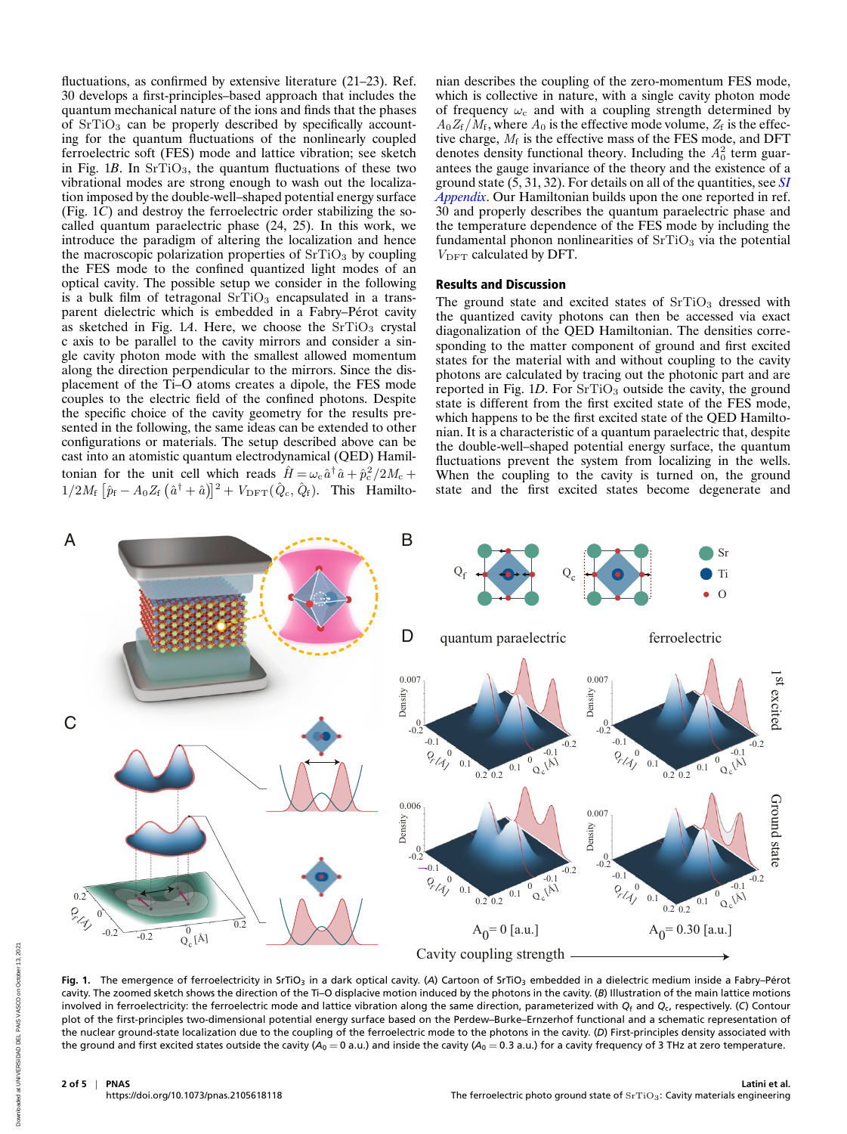fluctuations, as confirmed by extensive literature (21–23). Ref. 30 develops a first-principles–based approach that includes the quantum mechanical nature of the ions and finds that the phases of  $SrTiO<sub>3</sub>$  can be properly described by specifically accounting for the quantum fluctuations of the nonlinearly coupled ferroelectric soft (FES) mode and lattice vibration; see sketch in Fig.  $1B$ . In  $SrTiO<sub>3</sub>$ , the quantum fluctuations of these two vibrational modes are strong enough to wash out the localization imposed by the double-well–shaped potential energy surface (Fig. 1*C*) and destroy the ferroelectric order stabilizing the socalled quantum paraelectric phase (24, 25). In this work, we introduce the paradigm of altering the localization and hence the macroscopic polarization properties of  $SrTiO<sub>3</sub>$  by coupling the FES mode to the confined quantized light modes of an optical cavity. The possible setup we consider in the following is a bulk film of tetragonal  $SrTiO<sub>3</sub>$  encapsulated in a transparent dielectric which is embedded in a Fabry–Pérot cavity as sketched in Fig. 1A. Here, we choose the SrTiO<sub>3</sub> crystal c axis to be parallel to the cavity mirrors and consider a single cavity photon mode with the smallest allowed momentum along the direction perpendicular to the mirrors. Since the displacement of the Ti–O atoms creates a dipole, the FES mode couples to the electric field of the confined photons. Despite the specific choice of the cavity geometry for the results presented in the following, the same ideas can be extended to other configurations or materials. The setup described above can be cast into an atomistic quantum electrodynamical (QED) Hamiltonian for the unit cell which reads  $\hat{H} = \omega_c \hat{a}^\dagger \hat{a} + \hat{p}_c^2/2M_c +$  $1/2M_f \left[ \hat{p}_f - A_0 Z_f \left( \hat{a}^\dagger + \hat{a} \right) \right]^2 + V_{\text{DFT}}(\hat{Q}_c, \hat{Q}_f)$ . This Hamiltonian describes the coupling of the zero-momentum FES mode, which is collective in nature, with a single cavity photon mode of frequency  $\omega_c$  and with a coupling strength determined by  $A_0Z_f/M_f$ , where  $A_0$  is the effective mode volume,  $Z_f$  is the effective charge,  $M_f$  is the effective mass of the FES mode, and DFT denotes density functional theory. Including the  $A_0^2$  term guarantees the gauge invariance of the theory and the existence of a ground state (5, 31, 32). For details on all of the quantities, see *[SI](https://www.pnas.org/lookup/suppl/doi:10.1073/pnas.2105618118/-/DCSupplemental) [Appendix](https://www.pnas.org/lookup/suppl/doi:10.1073/pnas.2105618118/-/DCSupplemental)*. Our Hamiltonian builds upon the one reported in ref. 30 and properly describes the quantum paraelectric phase and the temperature dependence of the FES mode by including the fundamental phonon nonlinearities of  $SrTiO<sub>3</sub>$  via the potential  $V_{\rm DFT}$  calculated by DFT.

## Results and Discussion

The ground state and excited states of  $SrTiO<sub>3</sub>$  dressed with the quantized cavity photons can then be accessed via exact diagonalization of the QED Hamiltonian. The densities corresponding to the matter component of ground and first excited states for the material with and without coupling to the cavity photons are calculated by tracing out the photonic part and are reported in Fig.  $1D$ . For  $SrTiO<sub>3</sub>$  outside the cavity, the ground state is different from the first excited state of the FES mode, which happens to be the first excited state of the QED Hamiltonian. It is a characteristic of a quantum paraelectric that, despite the double-well–shaped potential energy surface, the quantum fluctuations prevent the system from localizing in the wells. When the coupling to the cavity is turned on, the ground state and the first excited states become degenerate and



Fig. 1. The emergence of ferroelectricity in SrTiO<sub>3</sub> in a dark optical cavity. (A) Cartoon of SrTiO<sub>3</sub> embedded in a dielectric medium inside a Fabry–Pérot cavity. The zoomed sketch shows the direction of the Ti–O displacive motion induced by the photons in the cavity. (*B*) Illustration of the main lattice motions involved in ferroelectricity: the ferroelectric mode and lattice vibration along the same direction, parameterized with *Q*<sup>f</sup> and *Q*c, respectively. (*C*) Contour plot of the first-principles two-dimensional potential energy surface based on the Perdew–Burke–Ernzerhof functional and a schematic representation of the nuclear ground-state localization due to the coupling of the ferroelectric mode to the photons in the cavity. (*D*) First-principles density associated with the ground and first excited states outside the cavity ( $A_0 = 0$  a.u.) and inside the cavity ( $A_0 = 0.3$  a.u.) for a cavity frequency of 3 THz at zero temperature.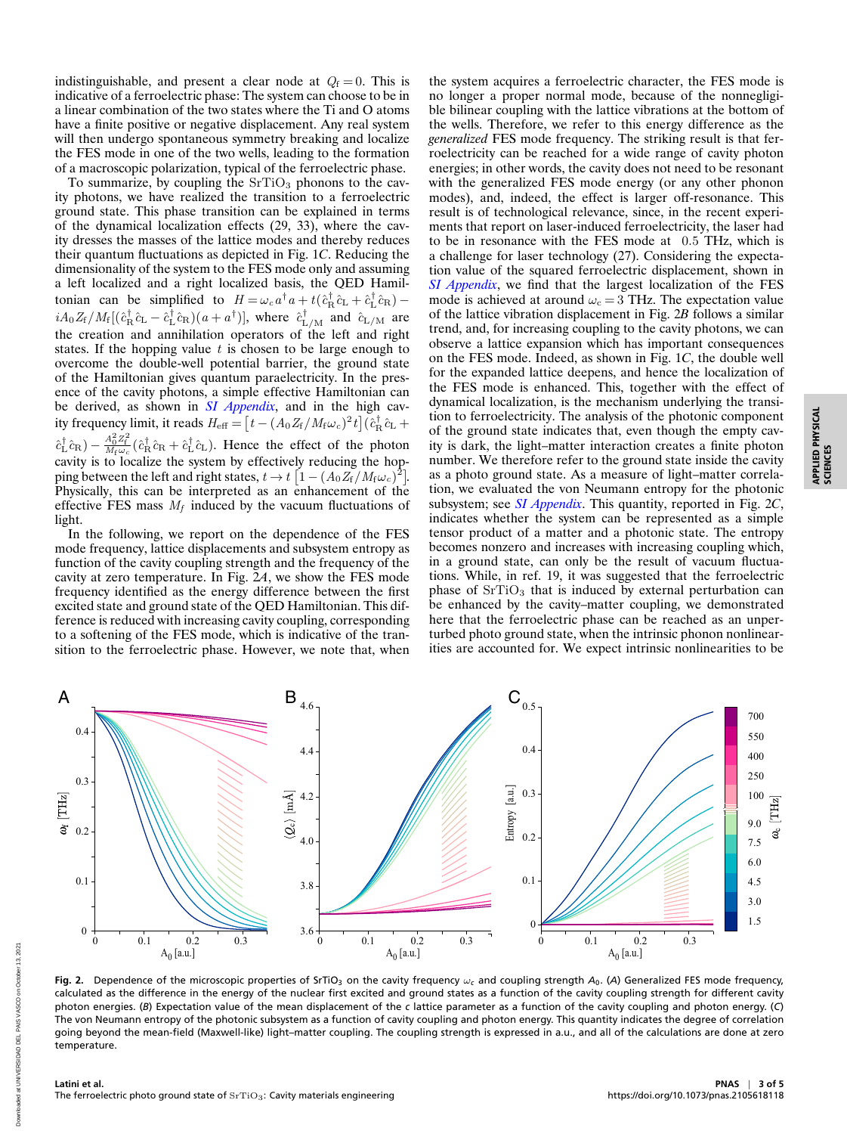indistinguishable, and present a clear node at  $Q_f = 0$ . This is indicative of a ferroelectric phase: The system can choose to be in a linear combination of the two states where the Ti and O atoms have a finite positive or negative displacement. Any real system will then undergo spontaneous symmetry breaking and localize the FES mode in one of the two wells, leading to the formation of a macroscopic polarization, typical of the ferroelectric phase.

To summarize, by coupling the  $SrTiO<sub>3</sub>$  phonons to the cavity photons, we have realized the transition to a ferroelectric ground state. This phase transition can be explained in terms of the dynamical localization effects (29, 33), where the cavity dresses the masses of the lattice modes and thereby reduces their quantum fluctuations as depicted in Fig. 1*C*. Reducing the dimensionality of the system to the FES mode only and assuming a left localized and a right localized basis, the QED Hamiltonian can be simplified to  $H = \omega_c a^{\dagger} a + t (\hat{c}_R^{\dagger} \hat{c}_L + \hat{c}_L^{\dagger} \hat{c}_R)$  $iA_0Z_f/M_f[(\hat{c}_R^{\dagger}\hat{c}_L-\hat{c}_L^{\dagger}\hat{c}_R)(a+a^{\dagger})]$ , where  $\hat{c}_{L/M}^{\dagger}$  and  $\hat{c}_{L/M}$  are the creation and annihilation operators of the left and right states. If the hopping value  $t$  is chosen to be large enough to overcome the double-well potential barrier, the ground state of the Hamiltonian gives quantum paraelectricity. In the presence of the cavity photons, a simple effective Hamiltonian can be derived, as shown in *[SI Appendix](https://www.pnas.org/lookup/suppl/doi:10.1073/pnas.2105618118/-/DCSupplemental)*, and in the high cavity frequency limit, it reads  $H_{\text{eff}} = \left[t - (A_0 Z_f / M_f \omega_c)^2 t\right] (\hat{c}_{\text{R}}^{\dagger} \hat{c}_{\text{L}} +$  $\hat{c}_{\rm L}^{\dagger} \hat{c}_{\rm R}$ ) –  $\frac{A_0^2 Z_{\rm f}^2}{M_{\rm f}\omega_c} (\hat{c}_{\rm R}^{\dagger} \hat{c}_{\rm R} + \hat{c}_{\rm L}^{\dagger} \hat{c}_{\rm L})$ . Hence the effect of the photon cavity is to localize the system by effectively reducing the hopping between the left and right states,  $t \to t~[1-(A_0 Z_f/M_f \omega_c)^2]$ . Physically, this can be interpreted as an enhancement of the effective FES mass  $M_f$  induced by the vacuum fluctuations of light.

In the following, we report on the dependence of the FES mode frequency, lattice displacements and subsystem entropy as function of the cavity coupling strength and the frequency of the cavity at zero temperature. In Fig. 2*A*, we show the FES mode frequency identified as the energy difference between the first excited state and ground state of the QED Hamiltonian. This difference is reduced with increasing cavity coupling, corresponding to a softening of the FES mode, which is indicative of the transition to the ferroelectric phase. However, we note that, when

the system acquires a ferroelectric character, the FES mode is no longer a proper normal mode, because of the nonnegligible bilinear coupling with the lattice vibrations at the bottom of the wells. Therefore, we refer to this energy difference as the *generalized* FES mode frequency. The striking result is that ferroelectricity can be reached for a wide range of cavity photon energies; in other words, the cavity does not need to be resonant with the generalized FES mode energy (or any other phonon modes), and, indeed, the effect is larger off-resonance. This result is of technological relevance, since, in the recent experiments that report on laser-induced ferroelectricity, the laser had to be in resonance with the FES mode at 0.5 THz, which is a challenge for laser technology (27). Considering the expectation value of the squared ferroelectric displacement, shown in *[SI Appendix](https://www.pnas.org/lookup/suppl/doi:10.1073/pnas.2105618118/-/DCSupplemental)*, we find that the largest localization of the FES mode is achieved at around  $\omega_c = 3$  THz. The expectation value of the lattice vibration displacement in Fig. 2*B* follows a similar trend, and, for increasing coupling to the cavity photons, we can observe a lattice expansion which has important consequences on the FES mode. Indeed, as shown in Fig. 1*C*, the double well for the expanded lattice deepens, and hence the localization of the FES mode is enhanced. This, together with the effect of dynamical localization, is the mechanism underlying the transition to ferroelectricity. The analysis of the photonic component of the ground state indicates that, even though the empty cavity is dark, the light–matter interaction creates a finite photon number. We therefore refer to the ground state inside the cavity as a photo ground state. As a measure of light–matter correlation, we evaluated the von Neumann entropy for the photonic subsystem; see *[SI Appendix](https://www.pnas.org/lookup/suppl/doi:10.1073/pnas.2105618118/-/DCSupplemental)*. This quantity, reported in Fig. 2*C*, indicates whether the system can be represented as a simple tensor product of a matter and a photonic state. The entropy becomes nonzero and increases with increasing coupling which, in a ground state, can only be the result of vacuum fluctuations. While, in ref. 19, it was suggested that the ferroelectric phase of  $SrTiO<sub>3</sub>$  that is induced by external perturbation can be enhanced by the cavity–matter coupling, we demonstrated here that the ferroelectric phase can be reached as an unperturbed photo ground state, when the intrinsic phonon nonlinearities are accounted for. We expect intrinsic nonlinearities to be

APPLIED PHYSICAL APPLIED PHYSICAL<br>SCIENCES



Fig. 2. Dependence of the microscopic properties of SrTiO<sub>3</sub> on the cavity frequency ω<sub>c</sub> and coupling strength *A*<sub>0</sub>. (A) Generalized FES mode frequency, calculated as the difference in the energy of the nuclear first excited and ground states as a function of the cavity coupling strength for different cavity photon energies. (*B*) Expectation value of the mean displacement of the *c* lattice parameter as a function of the cavity coupling and photon energy. (*C*) The von Neumann entropy of the photonic subsystem as a function of cavity coupling and photon energy. This quantity indicates the degree of correlation going beyond the mean-field (Maxwell-like) light–matter coupling. The coupling strength is expressed in a.u., and all of the calculations are done at zero temperature.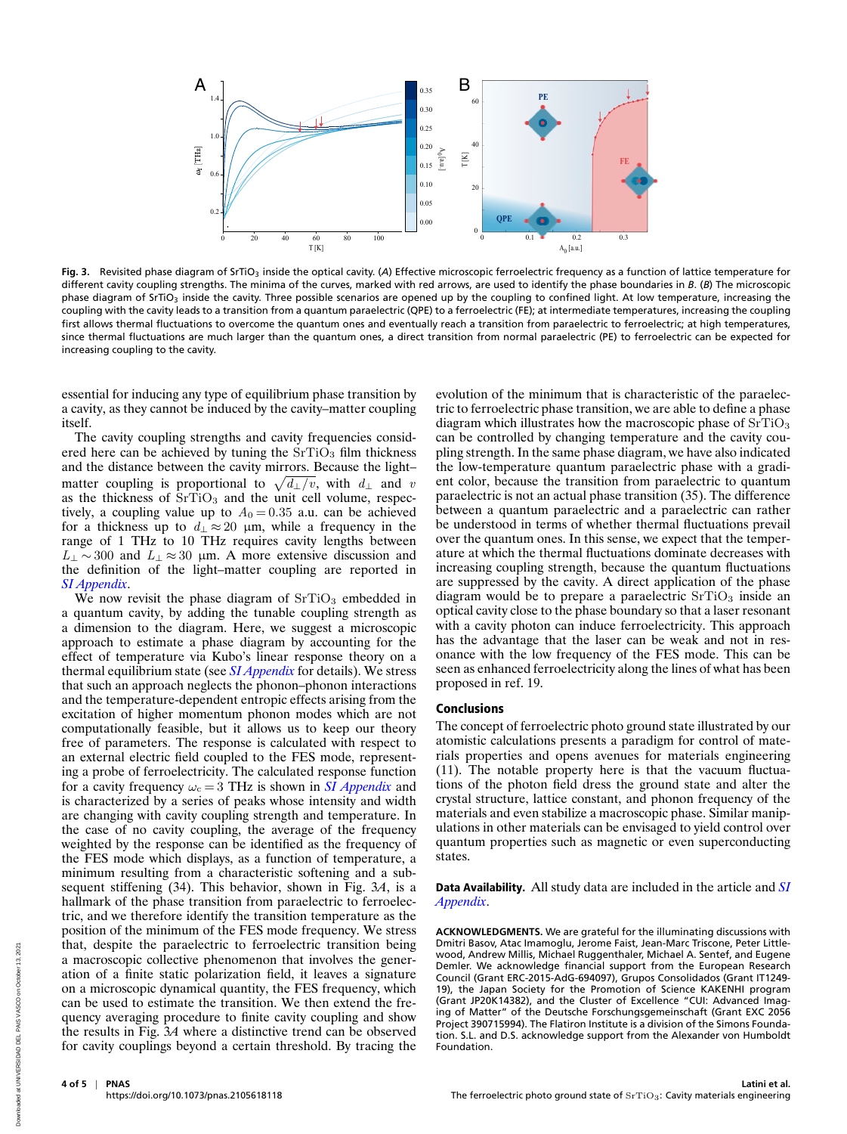

Fig. 3. Revisited phase diagram of SrTiO<sub>3</sub> inside the optical cavity. (A) Effective microscopic ferroelectric frequency as a function of lattice temperature for different cavity coupling strengths. The minima of the curves, marked with red arrows, are used to identify the phase boundaries in *B*. (*B*) The microscopic phase diagram of SrTiO<sub>3</sub> inside the cavity. Three possible scenarios are opened up by the coupling to confined light. At low temperature, increasing the coupling with the cavity leads to a transition from a quantum paraelectric (QPE) to a ferroelectric (FE); at intermediate temperatures, increasing the coupling first allows thermal fluctuations to overcome the quantum ones and eventually reach a transition from paraelectric to ferroelectric; at high temperatures, since thermal fluctuations are much larger than the quantum ones, a direct transition from normal paraelectric (PE) to ferroelectric can be expected for increasing coupling to the cavity.

essential for inducing any type of equilibrium phase transition by a cavity, as they cannot be induced by the cavity–matter coupling itself.

The cavity coupling strengths and cavity frequencies considered here can be achieved by tuning the  $SrTiO<sub>3</sub>$  film thickness and the distance between the cavity mirrors. Because the light– matter coupling is proportional to  $\sqrt{d_{\perp}/v}$ , with  $d_{\perp}$  and v as the thickness of  $SrTiO<sub>3</sub>$  and the unit cell volume, respectively, a coupling value up to  $A_0 = 0.35$  a.u. can be achieved for a thickness up to  $d_{\perp} \approx 20$  µm, while a frequency in the range of 1 THz to 10 THz requires cavity lengths between  $L_1 \sim 300$  and  $L_1 \approx 30$  µm. A more extensive discussion and the definition of the light–matter coupling are reported in *[SI Appendix](https://www.pnas.org/lookup/suppl/doi:10.1073/pnas.2105618118/-/DCSupplemental)*.

We now revisit the phase diagram of  $SrTiO<sub>3</sub>$  embedded in a quantum cavity, by adding the tunable coupling strength as a dimension to the diagram. Here, we suggest a microscopic approach to estimate a phase diagram by accounting for the effect of temperature via Kubo's linear response theory on a thermal equilibrium state (see *[SI Appendix](https://www.pnas.org/lookup/suppl/doi:10.1073/pnas.2105618118/-/DCSupplemental)* for details). We stress that such an approach neglects the phonon–phonon interactions and the temperature-dependent entropic effects arising from the excitation of higher momentum phonon modes which are not computationally feasible, but it allows us to keep our theory free of parameters. The response is calculated with respect to an external electric field coupled to the FES mode, representing a probe of ferroelectricity. The calculated response function for a cavity frequency  $\omega_c = 3$  THz is shown in *[SI Appendix](https://www.pnas.org/lookup/suppl/doi:10.1073/pnas.2105618118/-/DCSupplemental)* and is characterized by a series of peaks whose intensity and width are changing with cavity coupling strength and temperature. In the case of no cavity coupling, the average of the frequency weighted by the response can be identified as the frequency of the FES mode which displays, as a function of temperature, a minimum resulting from a characteristic softening and a subsequent stiffening (34). This behavior, shown in Fig. 3*A*, is a hallmark of the phase transition from paraelectric to ferroelectric, and we therefore identify the transition temperature as the position of the minimum of the FES mode frequency. We stress that, despite the paraelectric to ferroelectric transition being a macroscopic collective phenomenon that involves the generation of a finite static polarization field, it leaves a signature on a microscopic dynamical quantity, the FES frequency, which can be used to estimate the transition. We then extend the frequency averaging procedure to finite cavity coupling and show the results in Fig. 3*A* where a distinctive trend can be observed for cavity couplings beyond a certain threshold. By tracing the

evolution of the minimum that is characteristic of the paraelectric to ferroelectric phase transition, we are able to define a phase diagram which illustrates how the macroscopic phase of  $SrTiO<sub>3</sub>$ can be controlled by changing temperature and the cavity coupling strength. In the same phase diagram, we have also indicated the low-temperature quantum paraelectric phase with a gradient color, because the transition from paraelectric to quantum paraelectric is not an actual phase transition (35). The difference between a quantum paraelectric and a paraelectric can rather be understood in terms of whether thermal fluctuations prevail over the quantum ones. In this sense, we expect that the temperature at which the thermal fluctuations dominate decreases with increasing coupling strength, because the quantum fluctuations are suppressed by the cavity. A direct application of the phase diagram would be to prepare a paraelectric  $SrTiO<sub>3</sub>$  inside an optical cavity close to the phase boundary so that a laser resonant with a cavity photon can induce ferroelectricity. This approach has the advantage that the laser can be weak and not in resonance with the low frequency of the FES mode. This can be seen as enhanced ferroelectricity along the lines of what has been proposed in ref. 19.

#### Conclusions

The concept of ferroelectric photo ground state illustrated by our atomistic calculations presents a paradigm for control of materials properties and opens avenues for materials engineering (11). The notable property here is that the vacuum fluctuations of the photon field dress the ground state and alter the crystal structure, lattice constant, and phonon frequency of the materials and even stabilize a macroscopic phase. Similar manipulations in other materials can be envisaged to yield control over quantum properties such as magnetic or even superconducting states.

### Data Availability. All study data are included in the article and *[SI](https://www.pnas.org/lookup/suppl/doi:10.1073/pnas.2105618118/-/DCSupplemental) [Appendix](https://www.pnas.org/lookup/suppl/doi:10.1073/pnas.2105618118/-/DCSupplemental)*.

**ACKNOWLEDGMENTS.** We are grateful for the illuminating discussions with Dmitri Basov, Atac Imamoglu, Jerome Faist, Jean-Marc Triscone, Peter Littlewood, Andrew Millis, Michael Ruggenthaler, Michael A. Sentef, and Eugene Demler. We acknowledge financial support from the European Research Council (Grant ERC-2015-AdG-694097), Grupos Consolidados (Grant IT1249- 19), the Japan Society for the Promotion of Science KAKENHI program (Grant JP20K14382), and the Cluster of Excellence "CUI: Advanced Imaging of Matter" of the Deutsche Forschungsgemeinschaft (Grant EXC 2056 Project 390715994). The Flatiron Institute is a division of the Simons Foundation. S.L. and D.S. acknowledge support from the Alexander von Humboldt Foundation.